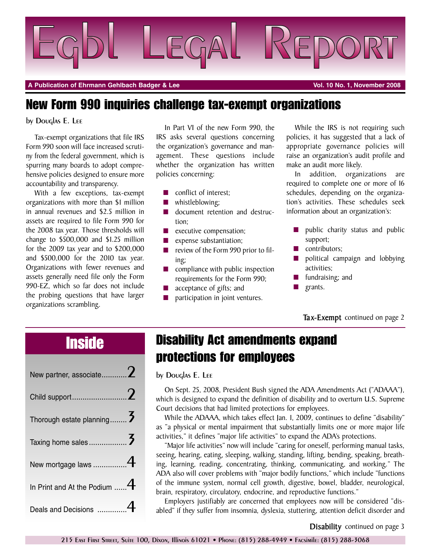

**A Publication of Ehrmann Gehlbach Badger & Lee Vol. 10 No. 1, November 2008**

### **New Form 990 inquiries challenge tax-exempt organizations**

#### by Douglas E. Lee

Tax-exempt organizations that file IRS Form 990 soon will face increased scrutiny from the federal government, which is spurring many boards to adopt comprehensive policies designed to ensure more accountability and transparency.

With a few exceptions, tax-exempt organizations with more than \$1 million in annual revenues and \$2.5 million in assets are required to file Form 990 for the 2008 tax year. Those thresholds will change to \$500,000 and \$1.25 million for the 2009 tax year and to \$200,000 and \$500,000 for the 2010 tax year. Organizations with fewer revenues and assets generally need file only the Form 990-EZ, which so far does not include the probing questions that have larger organizations scrambling.

In Part VI of the new Form 990, the IRS asks several questions concerning the organization's governance and management. These questions include whether the organization has written policies concerning:

- conflict of interest;
- **■** whistleblowing;
- document retention and destruction;
- **■** executive compensation;
- expense substantiation;
- **■** review of the Form 990 prior to filing;
- **■** compliance with public inspection requirements for the Form 990;
- **■** acceptance of gifts; and
- participation in joint ventures.

While the IRS is not requiring such policies, it has suggested that a lack of appropriate governance policies will raise an organization's audit profile and make an audit more likely.

In addition, organizations are required to complete one or more of 16 schedules, depending on the organization's activities. These schedules seek information about an organization's:

- public charity status and public support;
- contributors;
- **■** political campaign and lobbying activities;
- **■** fundraising; and
- **■** grants.

#### **Tax-Exempt** continued on page 2

| New partner, associate 2       |  |
|--------------------------------|--|
|                                |  |
| Thorough estate planning       |  |
|                                |  |
| New mortgage laws $4$          |  |
| In Print and At the Podium $4$ |  |
| Deals and Decisions            |  |

## **Inside Disability Act amendments expand protections for employees**

by Douglas E. Lee

On Sept. 25, 2008, President Bush signed the ADA Amendments Act ("ADAAA"), which is designed to expand the definition of disability and to overturn U.S. Supreme Court decisions that had limited protections for employees.

While the ADAAA, which takes effect Jan. 1, 2009, continues to define "disability" as "a physical or mental impairment that substantially limits one or more major life activities," it defines "major life activities" to expand the ADA's protections.

"Major life activities" now will include "caring for oneself, performing manual tasks, seeing, hearing, eating, sleeping, walking, standing, lifting, bending, speaking, breathing, learning, reading, concentrating, thinking, communicating, and working." The ADA also will cover problems with "major bodily functions," which include "functions of the immune system, normal cell growth, digestive, bowel, bladder, neurological, brain, respiratory, circulatory, endocrine, and reproductive functions."

Employers justifiably are concerned that employees now will be considered "disabled" if they suffer from insomnia, dyslexia, stuttering, attention deficit disorder and

**Disability** continued on page 3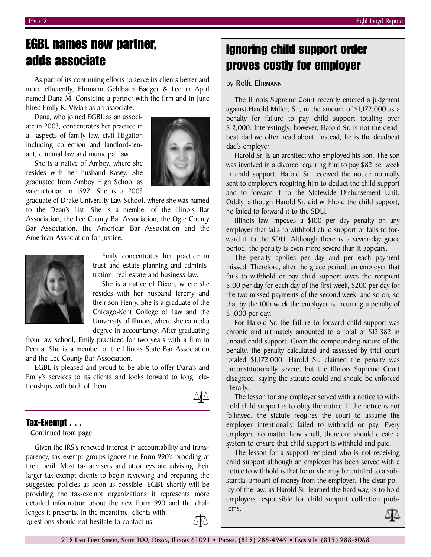As part of its continuing efforts to serve its clients better and more efficiently, Ehrmann Gehlbach Badger & Lee in April named Dana M. Considine a partner with the firm and in June hired Emily R. Vivian as an associate.

Dana, who joined EGBL as an associate in 2003, concentrates her practice in all aspects of family law, civil litigation including collection and landlord-tenant, criminal law and municipal law.

She is a native of Amboy, where she resides with her husband Kasey. She graduated from Amboy High School as valedictorian in 1997. She is a 2003

graduate of Drake University Law School, where she was named to the Dean's List. She is a member of the Illinois Bar Association, the Lee County Bar Association, the Ogle County Bar Association, the American Bar Association and the American Association for Justice.



Emily concentrates her practice in trust and estate planning and administration, real estate and business law.

She is a native of Dixon, where she resides with her husband Jeremy and their son Henry. She is a graduate of the Chicago-Kent College of Law and the University of Illinois, where she earned a degree in accountancy. After graduating

from law school, Emily practiced for two years with a firm in Peoria. She is a member of the Illinois State Bar Association and the Lee County Bar Association.

EGBL is pleased and proud to be able to offer Dana's and Emily's services to its clients and looks forward to long relationships with both of them.



### **Tax-Exempt . . .**

Continued from page 1

Given the IRS's renewed interest in accountability and transparency, tax-exempt groups ignore the Form 990's prodding at their peril. Most tax advisers and attorneys are advising their larger tax-exempt clients to begin reviewing and preparing the suggested policies as soon as possible. EGBL shortly will be providing the tax-exempt organizations it represents more detailed information about the new Form 990 and the challenges it presents. In the meantime, clients with

questions should not hesitate to contact us.



### **Ignoring child support order proves costly for employer**

#### by Rolfe Ehrmann

The Illinois Supreme Court recently entered a judgment against Harold Miller, Sr., in the amount of \$1,172,000 as a penalty for failure to pay child support totaling over \$12,000. Interestingly, however, Harold Sr. is not the deadbeat dad we often read about. Instead, he is the deadbeat dad's employer.

Harold Sr. is an architect who employed his son. The son was involved in a divorce requiring him to pay \$82 per week in child support. Harold Sr. received the notice normally sent to employers requiring him to deduct the child support and to forward it to the Statewide Disbursement Unit. Oddly, although Harold Sr. did withhold the child support, he failed to forward it to the SDU.

Illinois law imposes a \$100 per day penalty on any employer that fails to withhold child support or fails to forward it to the SDU. Although there is a seven-day grace period, the penalty is even more severe than it appears.

The penalty applies per day and per each payment missed. Therefore, after the grace period, an employer that fails to withhold or pay child support owes the recipient \$100 per day for each day of the first week, \$200 per day for the two missed payments of the second week, and so on, so that by the 10th week the employer is incurring a penalty of \$1,000 per day.

For Harold Sr. the failure to forward child support was chronic and ultimately amounted to a total of \$12,382 in unpaid child support. Given the compounding nature of the penalty, the penalty calculated and assessed by trial court totaled \$1,172,000. Harold Sr. claimed the penalty was unconstitutionally severe, but the Illinois Supreme Court disagreed, saying the statute could and should be enforced literally.

The lesson for any employer served with a notice to withhold child support is to obey the notice. If the notice is not followed, the statute requires the court to assume the employer intentionally failed to withhold or pay. Every employer, no matter how small, therefore should create a system to ensure that child support is withheld and paid.

The lesson for a support recipient who is not receiving child support although an employer has been served with a notice to withhold is that he or she may be entitled to a substantial amount of money from the employer. The clear policy of the law, as Harold Sr. learned the hard way, is to hold employers responsible for child support collection problems.

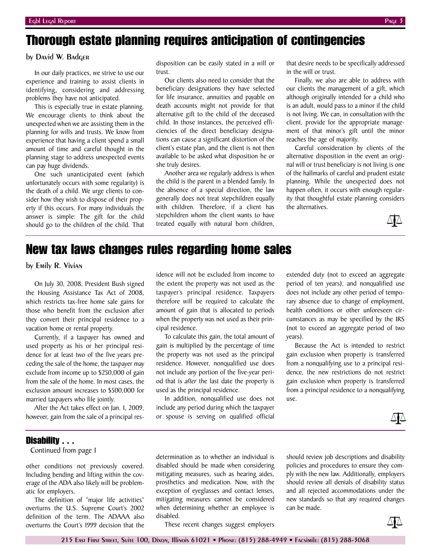### **Thorough estate planning requires anticipation of contingencies**

#### by David W. Badger

In our daily practices, we strive to use our experience and training to assist clients in identifying, considering and addressing problems they have not anticipated.

This is especially true in estate planning. We encourage clients to think about the unexpected when we are assisting them in the planning for wills and trusts. We know from experience that having a client spend a small amount of time and careful thought in the planning stage to address unexpected events can pay huge dividends.

One such unanticipated event (which unfortunately occurs with some regularity) is the death of a child. We urge clients to consider how they wish to dispose of their property if this occurs. For many individuals the answer is simple: The gift for the child should go to the children of the child. That

disposition can be easily stated in a will or trust.

Our clients also need to consider that the beneficiary designations they have selected for life insurance, annuities and payable on death accounts might not provide for that alternative gift to the child of the deceased child. In those instances, the perceived efficiencies of the direct beneficiary designations can cause a significant distortion of the client's estate plan, and the client is not then available to be asked what disposition he or she truly desires.

Another area we regularly address is when the child is the parent in a blended family. In the absence of a special direction, the law generally does not treat stepchildren equally with children. Therefore, if a client has stepchildren whom the client wants to have treated equally with natural born children,

that desire needs to be specifically addressed in the will or trust.

Finally, we also are able to address with our clients the management of a gift, which although originally intended for a child who is an adult, would pass to a minor if the child is not living. We can, in consultation with the client, provide for the appropriate management of that minor's gift until the minor reaches the age of majority.

Careful consideration by clients of the alternative disposition in the event an original will or trust beneficiary is not living is one of the hallmarks of careful and prudent estate planning. While the unexpected does not happen often, it occurs with enough regularity that thoughtful estate planning considers the alternatives.



### **New tax laws changes rules regarding home sales**

by Emily R. Vivian

On July 30, 2008, President Bush signed the Housing Assistance Tax Act of 2008, which restricts tax-free home sale gains for those who benefit from the exclusion after they convert their principal residence to a vacation home or rental property.

Currently, if a taxpayer has owned and used property as his or her principal residence for at least two of the five years preceding the sale of the home, the taxpayer may exclude from income up to \$250,000 of gain from the sale of the home. In most cases, the exclusion amount increases to \$500,000 for married taxpayers who file jointly.

After the Act takes effect on Jan. 1, 2009, however, gain from the sale of a principal res-

idence will not be excluded from income to the extent the property was not used as the taxpayer's principal residence. Taxpayers therefore will be required to calculate the amount of gain that is allocated to periods when the property was not used as their principal residence.

To calculate this gain, the total amount of gain is multiplied by the percentage of time the property was not used as the principal residence. However, nonqualified use does not include any portion of the five-year period that is *after* the last date the property is used as the principal residence.

In addition, nonqualified use does not include any period during which the taxpayer or spouse is serving on qualified official

extended duty (not to exceed an aggregate period of ten years), and nonqualified use does not include any other period of temporary absence due to change of employment, health conditions or other unforeseen circumstances as may be specified by the IRS (not to exceed an aggregate period of two years).

Because the Act is intended to restrict gain exclusion when property is transferred from a nonqualifying use to a principal residence, the new restrictions do not restrict gain exclusion when property is transferred from a principal residence to a nonqualifying use.



#### **Disability . . .**

Continued from page 1

other conditions not previously covered. Including bending and lifting within the coverage of the ADA also likely will be problematic for employers.

The definition of "major life activities" overturns the U.S. Supreme Court's 2002 definition of the term. The ADAAA also overturns the Court's 1999 decision that the

determination as to whether an individual is disabled should be made when considering mitigating measures, such as hearing aides, prosthetics and medication. Now, with the exception of eyeglasses and contact lenses, mitigating measures cannot be considered when determining whether an employee is disabled.

These recent changes suggest employers

should review job descriptions and disability policies and procedures to ensure they comply with the new law. Additionally, employers should review all denials of disability status and all rejected accommodations under the new standards so that any required changes can be made.